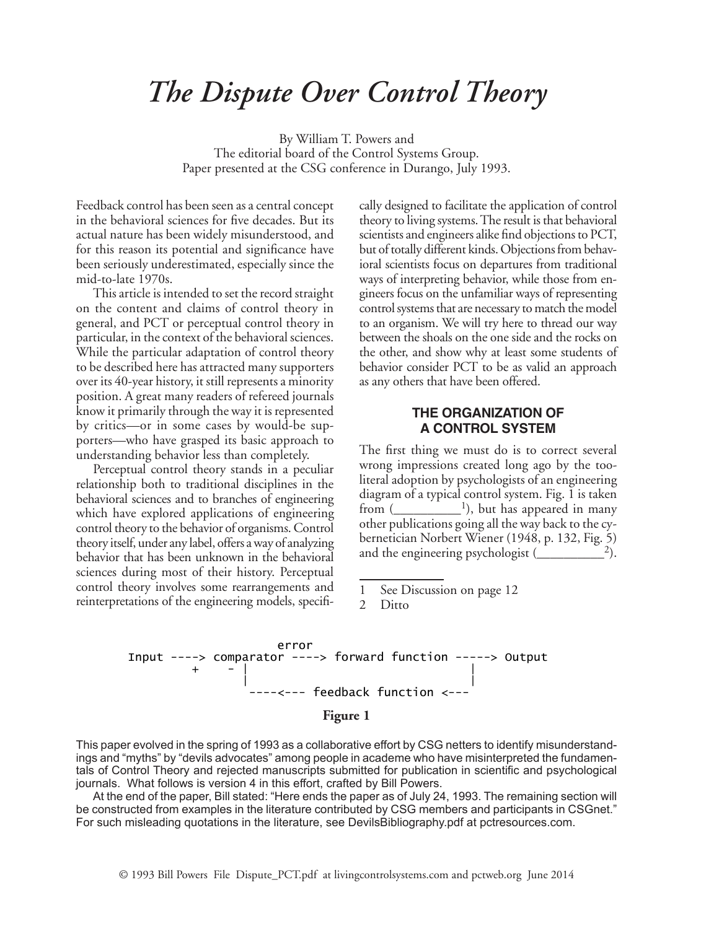# *The Dispute Over Control Theory*

By William T. Powers and The editorial board of the Control Systems Group. Paper presented at the CSG conference in Durango, July 1993.

Feedback control has been seen as a central concept in the behavioral sciences for five decades. But its actual nature has been widely misunderstood, and for this reason its potential and significance have been seriously underestimated, especially since the mid-to-late 1970s.

This article is intended to set the record straight on the content and claims of control theory in general, and PCT or perceptual control theory in particular, in the context of the behavioral sciences. While the particular adaptation of control theory to be described here has attracted many supporters over its 40-year history, it still represents a minority position. A great many readers of refereed journals know it primarily through the way it is represented by critics—or in some cases by would-be supporters—who have grasped its basic approach to understanding behavior less than completely.

Perceptual control theory stands in a peculiar relationship both to traditional disciplines in the behavioral sciences and to branches of engineering which have explored applications of engineering control theory to the behavior of organisms. Control theory itself, under any label, offers a way of analyzing behavior that has been unknown in the behavioral sciences during most of their history. Perceptual control theory involves some rearrangements and reinterpretations of the engineering models, specifically designed to facilitate the application of control theory to living systems. The result is that behavioral scientists and engineers alike find objections to PCT, but of totally different kinds. Objections from behavioral scientists focus on departures from traditional ways of interpreting behavior, while those from engineers focus on the unfamiliar ways of representing control systems that are necessary to match the model to an organism. We will try here to thread our way between the shoals on the one side and the rocks on the other, and show why at least some students of behavior consider PCT to be as valid an approach as any others that have been offered.

## **THE ORGANIZATION OF A CONTROL SYSTEM**

The first thing we must do is to correct several wrong impressions created long ago by the tooliteral adoption by psychologists of an engineering diagram of a typical control system. Fig. 1 is taken from  $($ \_\_\_\_\_\_\_\_\_\_<sup>1</sup>), but has appeared in many other publications going all the way back to the cybernetician Norbert Wiener (1948, p. 132, Fig. 5) and the engineering psychologist  $(\_\_ \_\_ \)^2$ .

1 See Discussion on page 12

Ditto



This paper evolved in the spring of 1993 as a collaborative effort by CSG netters to identify misunderstand-This paper evolved in the spring of 1990 as a collaborative enormy coornetters to identify misunderstand-<br>ings and "myths" by "devils advocates" among people in academe who have misinterpreted the fundamenings and "myths" by "devils advocates" among people in academie who have misinterpreted the iditioament-<br>tals of Control Theory and rejected manuscripts submitted for publication in scientific and psychological journals. What follows is version 4 in this effort, crafted by Bill Powers. ntroi Theory and rejected manuscripts submitted for publication in :<br>'

At the end of the paper, Bill stated: "Here ends the paper as of July 24, 1993. The remaining section will be constructed from examples in the literature contributed by CSG members and participants in CSGnet."  $\,$ For such misleading quotations in the literature, see DevilsBibliography.pdf at pctresources.com.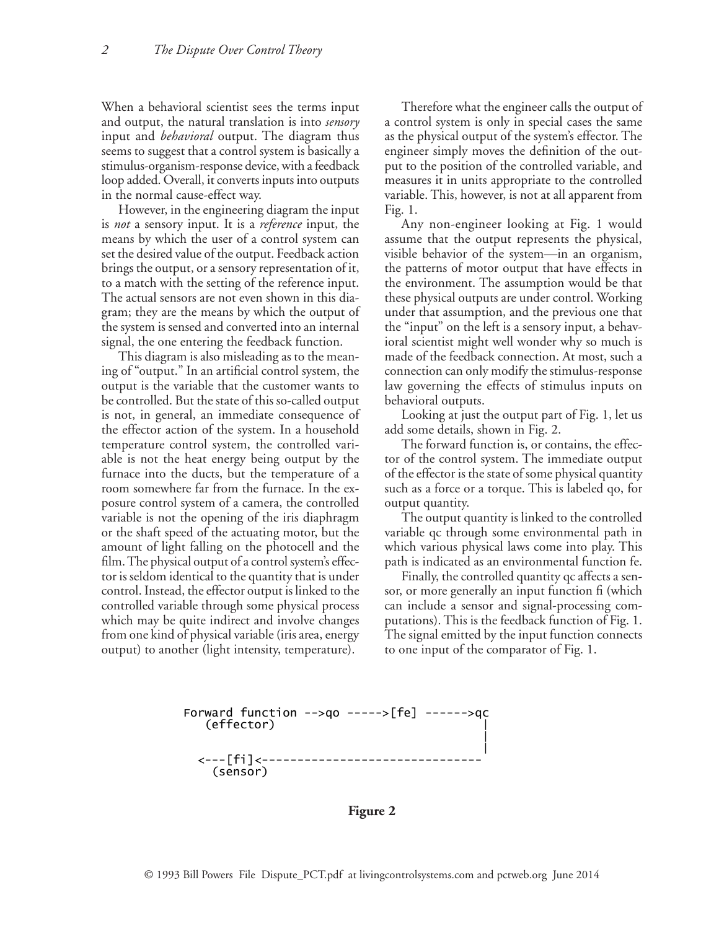When a behavioral scientist sees the terms input and output, the natural translation is into *sensory* input and *behavioral* output. The diagram thus seems to suggest that a control system is basically a stimulus-organism-response device, with a feedback loop added. Overall, it converts inputs into outputs in the normal cause-effect way.

However, in the engineering diagram the input is *not* a sensory input. It is a *reference* input, the means by which the user of a control system can set the desired value of the output. Feedback action brings the output, or a sensory representation of it, to a match with the setting of the reference input. The actual sensors are not even shown in this diagram; they are the means by which the output of the system is sensed and converted into an internal signal, the one entering the feedback function.

This diagram is also misleading as to the meaning of "output." In an artificial control system, the output is the variable that the customer wants to be controlled. But the state of this so-called output is not, in general, an immediate consequence of the effector action of the system. In a household temperature control system, the controlled variable is not the heat energy being output by the furnace into the ducts, but the temperature of a room somewhere far from the furnace. In the exposure control system of a camera, the controlled variable is not the opening of the iris diaphragm or the shaft speed of the actuating motor, but the amount of light falling on the photocell and the film. The physical output of a control system's effector is seldom identical to the quantity that is under control. Instead, the effector output is linked to the controlled variable through some physical process which may be quite indirect and involve changes putations). This is the feedback funct from one kind of physical variable (iris area, energy  $\overline{\phantom{a}}$  The signal emitted by t  $\frac{1}{100}$  output) to another (light intensity, temperature).  $\frac{1}{100}$  to one input of the content to another (light intensity, temperature). To one input of the co

Therefore what the engineer calls the output of a control system is only in special cases the same as the physical output of the system's effector. The engineer simply moves the definition of the output to the position of the controlled variable, and measures it in units appropriate to the controlled variable. This, however, is not at all apparent from Fig. 1.

Any non-engineer looking at Fig. 1 would assume that the output represents the physical, visible behavior of the system—in an organism, the patterns of motor output that have effects in the environment. The assumption would be that these physical outputs are under control. Working under that assumption, and the previous one that the "input" on the left is a sensory input, a behavioral scientist might well wonder why so much is made of the feedback connection. At most, such a connection can only modify the stimulus-response law governing the effects of stimulus inputs on behavioral outputs.

Looking at just the output part of Fig. 1, let us add some details, shown in Fig. 2.

The forward function is, or contains, the effector of the control system. The immediate output of the effector is the state of some physical quantity such as a force or a torque. This is labeled qo, for output quantity.

The output quantity is linked to the controlled variable qc through some environmental path in which various physical laws come into play. This path is indicated as an environmental function fe.

Finally, the controlled quantity qc affects a sensor, or more generally an input function fi (which can include a sensor and signal-processing computations). This is the feedback function of Fig. 1. The signal emitted by the input function connects to one input of the comparator of Fig. 1.

 Forward function -->qo ----->[fe] ------>qc (effector) | | | <---[fi]<------------------------------- (sensor)

**Figure 2**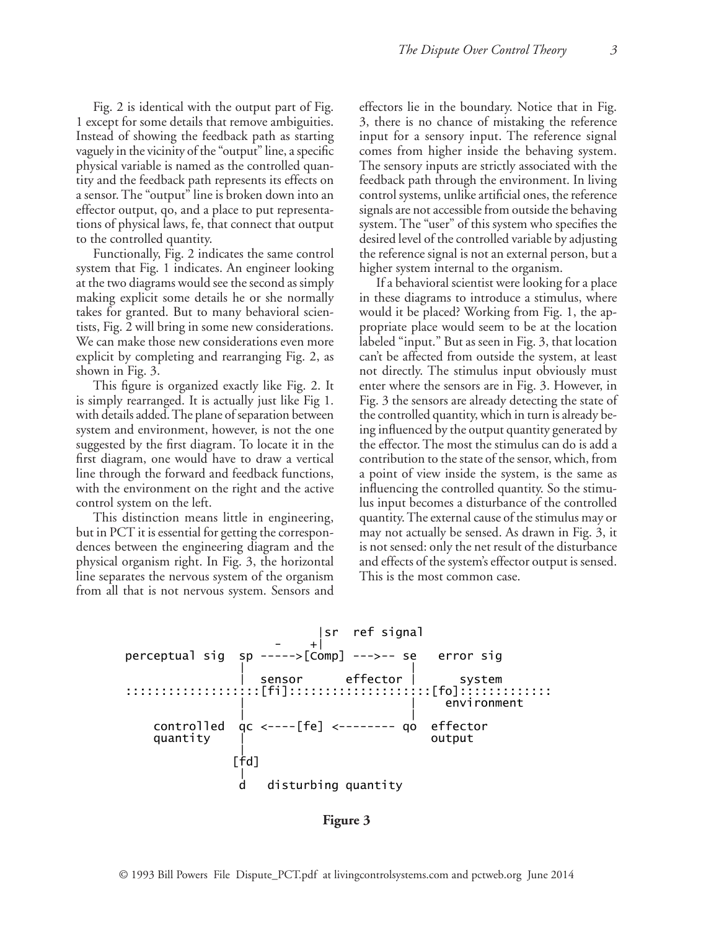Fig. 2 is identical with the output part of Fig. 1 except for some details that remove ambiguities. Instead of showing the feedback path as starting vaguely in the vicinity of the "output" line, a specific physical variable is named as the controlled quantity and the feedback path represents its effects on a sensor. The "output" line is broken down into an effector output, qo, and a place to put representations of physical laws, fe, that connect that output to the controlled quantity.

Functionally, Fig. 2 indicates the same control system that Fig. 1 indicates. An engineer looking at the two diagrams would see the second as simply making explicit some details he or she normally takes for granted. But to many behavioral scientists, Fig. 2 will bring in some new considerations. We can make those new considerations even more explicit by completing and rearranging Fig. 2, as shown in Fig. 3.

This figure is organized exactly like Fig. 2. It is simply rearranged. It is actually just like Fig 1. with details added. The plane of separation between system and environment, however, is not the one ing influenced by the ou suggested by the first diagram. To locate it in the heffector. The most tl first diagram, one would have to draw a vertical contribution to the sta line through the forward and feedback functions, with the environment on the right and the active control system on the left.  $\frac{1}{1}$  is added. The plane of separation between  $\frac{1}{1}$  in controlled quantity, which in turn

This distinction means little in engineering, quantity. The external but in PCT it is essential for getting the correspon- may not actually be se dences between the engineering diagram and the is not sensed: only the physical organism right. In Fig. 3, the horizontal and effects of the syst line separates the nervous system of the organism from all that is not nervous system. Sensors and This essential for getting the corresponsional productually be seen

effectors lie in the boundary. Notice that in Fig. 3, there is no chance of mistaking the reference input for a sensory input. The reference signal comes from higher inside the behaving system. The sensory inputs are strictly associated with the feedback path through the environment. In living control systems, unlike artificial ones, the reference signals are not accessible from outside the behaving system. The "user" of this system who specifies the desired level of the controlled variable by adjusting the reference signal is not an external person, but a higher system internal to the organism.

If a behavioral scientist were looking for a place in these diagrams to introduce a stimulus, where would it be placed? Working from Fig. 1, the appropriate place would seem to be at the location labeled "input." But as seen in Fig. 3, that location can't be affected from outside the system, at least not directly. The stimulus input obviously must enter where the sensors are in Fig. 3. However, in Fig. 3 the sensors are already detecting the state of the controlled quantity, which in turn is already being influenced by the output quantity generated by the effector. The most the stimulus can do is add a contribution to the state of the sensor, which, from a point of view inside the system, is the same as influencing the controlled quantity. So the stimulus input becomes a disturbance of the controlled quantity. The external cause of the stimulus may or may not actually be sensed. As drawn in Fig. 3, it is not sensed: only the net result of the disturbance and effects of the system's effector output is sensed. This is the most common case.



**Figure 3**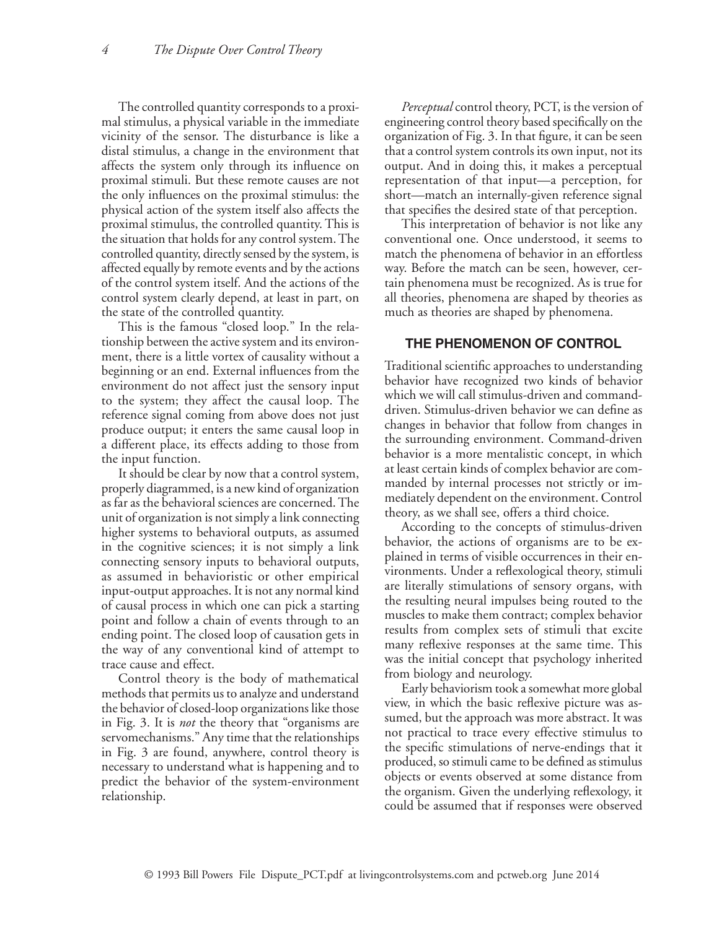The controlled quantity corresponds to a proximal stimulus, a physical variable in the immediate vicinity of the sensor. The disturbance is like a distal stimulus, a change in the environment that affects the system only through its influence on proximal stimuli. But these remote causes are not the only influences on the proximal stimulus: the physical action of the system itself also affects the proximal stimulus, the controlled quantity. This is the situation that holds for any control system. The controlled quantity, directly sensed by the system, is affected equally by remote events and by the actions of the control system itself. And the actions of the control system clearly depend, at least in part, on the state of the controlled quantity.

This is the famous "closed loop." In the relationship between the active system and its environment, there is a little vortex of causality without a beginning or an end. External influences from the environment do not affect just the sensory input to the system; they affect the causal loop. The reference signal coming from above does not just produce output; it enters the same causal loop in a different place, its effects adding to those from the input function.

It should be clear by now that a control system, properly diagrammed, is a new kind of organization as far as the behavioral sciences are concerned. The unit of organization is not simply a link connecting higher systems to behavioral outputs, as assumed in the cognitive sciences; it is not simply a link connecting sensory inputs to behavioral outputs, as assumed in behavioristic or other empirical input-output approaches. It is not any normal kind of causal process in which one can pick a starting point and follow a chain of events through to an ending point. The closed loop of causation gets in the way of any conventional kind of attempt to trace cause and effect.

Control theory is the body of mathematical methods that permits us to analyze and understand the behavior of closed-loop organizations like those in Fig. 3. It is *not* the theory that "organisms are servomechanisms." Any time that the relationships in Fig. 3 are found, anywhere, control theory is necessary to understand what is happening and to predict the behavior of the system-environment relationship.

*Perceptual* control theory, PCT, is the version of engineering control theory based specifically on the organization of Fig. 3. In that figure, it can be seen that a control system controls its own input, not its output. And in doing this, it makes a perceptual representation of that input—a perception, for short—match an internally-given reference signal that specifies the desired state of that perception.

This interpretation of behavior is not like any conventional one. Once understood, it seems to match the phenomena of behavior in an effortless way. Before the match can be seen, however, certain phenomena must be recognized. As is true for all theories, phenomena are shaped by theories as much as theories are shaped by phenomena.

## **THE PHENOMENON OF CONTROL**

Traditional scientific approaches to understanding behavior have recognized two kinds of behavior which we will call stimulus-driven and commanddriven. Stimulus-driven behavior we can define as changes in behavior that follow from changes in the surrounding environment. Command-driven behavior is a more mentalistic concept, in which at least certain kinds of complex behavior are commanded by internal processes not strictly or immediately dependent on the environment. Control theory, as we shall see, offers a third choice.

According to the concepts of stimulus-driven behavior, the actions of organisms are to be explained in terms of visible occurrences in their environments. Under a reflexological theory, stimuli are literally stimulations of sensory organs, with the resulting neural impulses being routed to the muscles to make them contract; complex behavior results from complex sets of stimuli that excite many reflexive responses at the same time. This was the initial concept that psychology inherited from biology and neurology.

Early behaviorism took a somewhat more global view, in which the basic reflexive picture was assumed, but the approach was more abstract. It was not practical to trace every effective stimulus to the specific stimulations of nerve-endings that it produced, so stimuli came to be defined as stimulus objects or events observed at some distance from the organism. Given the underlying reflexology, it could be assumed that if responses were observed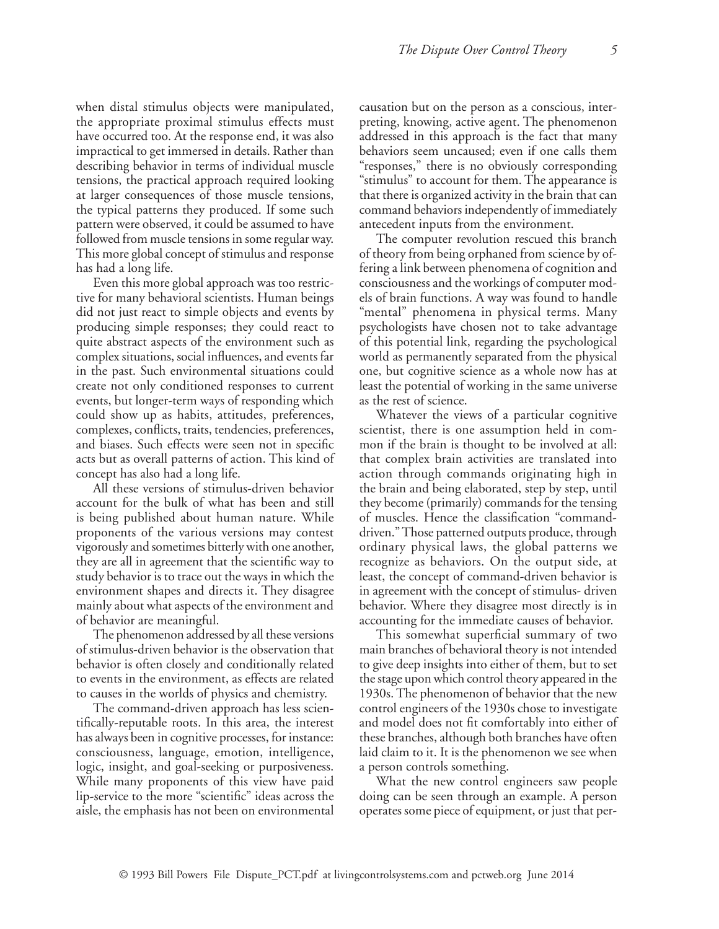when distal stimulus objects were manipulated, the appropriate proximal stimulus effects must have occurred too. At the response end, it was also impractical to get immersed in details. Rather than describing behavior in terms of individual muscle tensions, the practical approach required looking at larger consequences of those muscle tensions, the typical patterns they produced. If some such pattern were observed, it could be assumed to have followed from muscle tensions in some regular way. This more global concept of stimulus and response has had a long life.

Even this more global approach was too restrictive for many behavioral scientists. Human beings did not just react to simple objects and events by producing simple responses; they could react to quite abstract aspects of the environment such as complex situations, social influences, and events far in the past. Such environmental situations could create not only conditioned responses to current events, but longer-term ways of responding which could show up as habits, attitudes, preferences, complexes, conflicts, traits, tendencies, preferences, and biases. Such effects were seen not in specific acts but as overall patterns of action. This kind of concept has also had a long life.

All these versions of stimulus-driven behavior account for the bulk of what has been and still is being published about human nature. While proponents of the various versions may contest vigorously and sometimes bitterly with one another, they are all in agreement that the scientific way to study behavior is to trace out the ways in which the environment shapes and directs it. They disagree mainly about what aspects of the environment and of behavior are meaningful.

The phenomenon addressed by all these versions of stimulus-driven behavior is the observation that behavior is often closely and conditionally related to events in the environment, as effects are related to causes in the worlds of physics and chemistry.

The command-driven approach has less scientifically-reputable roots. In this area, the interest has always been in cognitive processes, for instance: consciousness, language, emotion, intelligence, logic, insight, and goal-seeking or purposiveness. While many proponents of this view have paid lip-service to the more "scientific" ideas across the aisle, the emphasis has not been on environmental causation but on the person as a conscious, interpreting, knowing, active agent. The phenomenon addressed in this approach is the fact that many behaviors seem uncaused; even if one calls them "responses," there is no obviously corresponding "stimulus" to account for them. The appearance is that there is organized activity in the brain that can command behaviors independently of immediately antecedent inputs from the environment.

The computer revolution rescued this branch of theory from being orphaned from science by offering a link between phenomena of cognition and consciousness and the workings of computer models of brain functions. A way was found to handle "mental" phenomena in physical terms. Many psychologists have chosen not to take advantage of this potential link, regarding the psychological world as permanently separated from the physical one, but cognitive science as a whole now has at least the potential of working in the same universe as the rest of science.

Whatever the views of a particular cognitive scientist, there is one assumption held in common if the brain is thought to be involved at all: that complex brain activities are translated into action through commands originating high in the brain and being elaborated, step by step, until they become (primarily) commands for the tensing of muscles. Hence the classification "commanddriven." Those patterned outputs produce, through ordinary physical laws, the global patterns we recognize as behaviors. On the output side, at least, the concept of command-driven behavior is in agreement with the concept of stimulus- driven behavior. Where they disagree most directly is in accounting for the immediate causes of behavior.

This somewhat superficial summary of two main branches of behavioral theory is not intended to give deep insights into either of them, but to set the stage upon which control theory appeared in the 1930s. The phenomenon of behavior that the new control engineers of the 1930s chose to investigate and model does not fit comfortably into either of these branches, although both branches have often laid claim to it. It is the phenomenon we see when a person controls something.

What the new control engineers saw people doing can be seen through an example. A person operates some piece of equipment, or just that per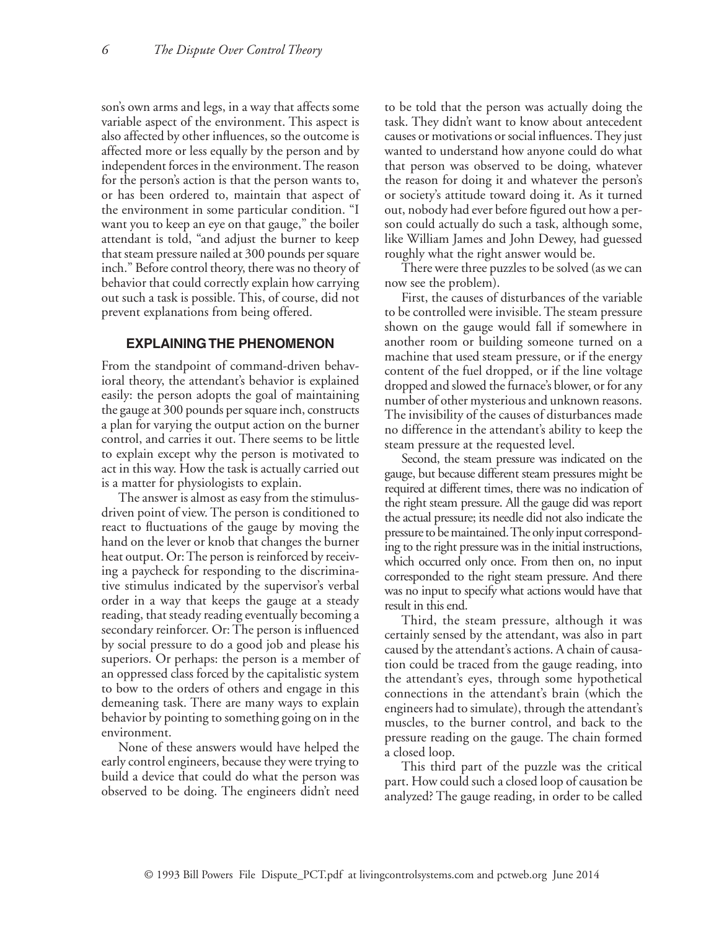son's own arms and legs, in a way that affects some variable aspect of the environment. This aspect is also affected by other influences, so the outcome is affected more or less equally by the person and by independent forces in the environment. The reason for the person's action is that the person wants to, or has been ordered to, maintain that aspect of the environment in some particular condition. "I want you to keep an eye on that gauge," the boiler attendant is told, "and adjust the burner to keep that steam pressure nailed at 300 pounds per square inch." Before control theory, there was no theory of behavior that could correctly explain how carrying out such a task is possible. This, of course, did not prevent explanations from being offered.

# **EXPLAINING THE PHENOMENON**

From the standpoint of command-driven behavioral theory, the attendant's behavior is explained easily: the person adopts the goal of maintaining the gauge at 300 pounds per square inch, constructs a plan for varying the output action on the burner control, and carries it out. There seems to be little to explain except why the person is motivated to act in this way. How the task is actually carried out is a matter for physiologists to explain.

The answer is almost as easy from the stimulusdriven point of view. The person is conditioned to react to fluctuations of the gauge by moving the hand on the lever or knob that changes the burner heat output. Or: The person is reinforced by receiving a paycheck for responding to the discriminative stimulus indicated by the supervisor's verbal order in a way that keeps the gauge at a steady reading, that steady reading eventually becoming a secondary reinforcer. Or: The person is influenced by social pressure to do a good job and please his superiors. Or perhaps: the person is a member of an oppressed class forced by the capitalistic system to bow to the orders of others and engage in this demeaning task. There are many ways to explain behavior by pointing to something going on in the environment.

None of these answers would have helped the early control engineers, because they were trying to build a device that could do what the person was observed to be doing. The engineers didn't need to be told that the person was actually doing the task. They didn't want to know about antecedent causes or motivations or social influences. They just wanted to understand how anyone could do what that person was observed to be doing, whatever the reason for doing it and whatever the person's or society's attitude toward doing it. As it turned out, nobody had ever before figured out how a person could actually do such a task, although some, like William James and John Dewey, had guessed roughly what the right answer would be.

There were three puzzles to be solved (as we can now see the problem).

First, the causes of disturbances of the variable to be controlled were invisible. The steam pressure shown on the gauge would fall if somewhere in another room or building someone turned on a machine that used steam pressure, or if the energy content of the fuel dropped, or if the line voltage dropped and slowed the furnace's blower, or for any number of other mysterious and unknown reasons. The invisibility of the causes of disturbances made no difference in the attendant's ability to keep the steam pressure at the requested level.

Second, the steam pressure was indicated on the gauge, but because different steam pressures might be required at different times, there was no indication of the right steam pressure. All the gauge did was report the actual pressure; its needle did not also indicate the pressure to be maintained. The only input corresponding to the right pressure was in the initial instructions, which occurred only once. From then on, no input corresponded to the right steam pressure. And there was no input to specify what actions would have that result in this end.

Third, the steam pressure, although it was certainly sensed by the attendant, was also in part caused by the attendant's actions. A chain of causation could be traced from the gauge reading, into the attendant's eyes, through some hypothetical connections in the attendant's brain (which the engineers had to simulate), through the attendant's muscles, to the burner control, and back to the pressure reading on the gauge. The chain formed a closed loop.

This third part of the puzzle was the critical part. How could such a closed loop of causation be analyzed? The gauge reading, in order to be called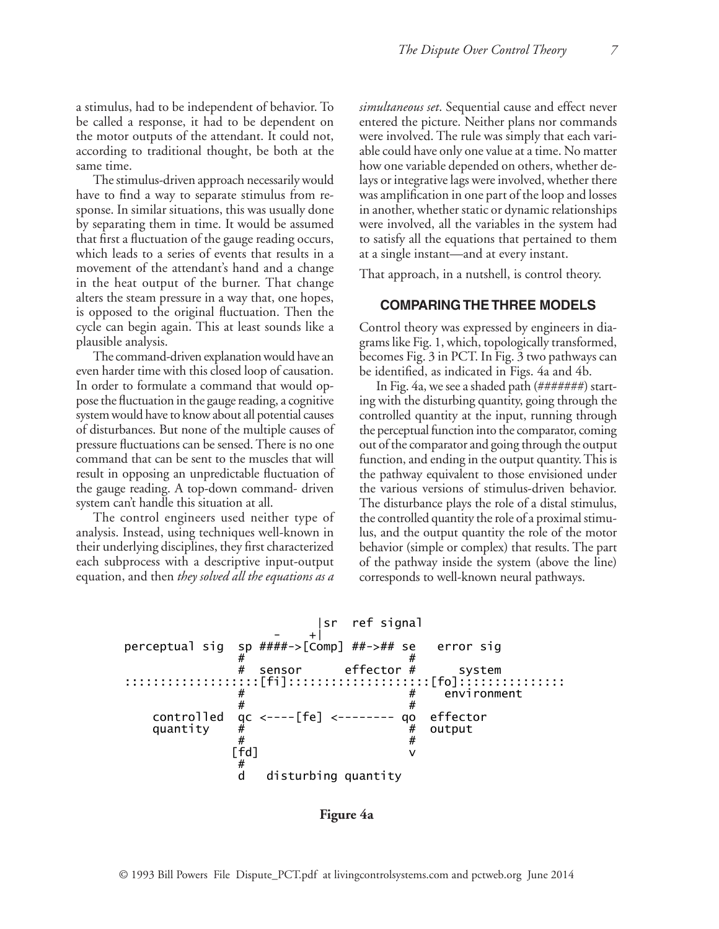a stimulus, had to be independent of behavior. To be called a response, it had to be dependent on the motor outputs of the attendant. It could not, according to traditional thought, be both at the same time.

The stimulus-driven approach necessarily would have to find a way to separate stimulus from response. In similar situations, this was usually done head in another, whether stat by separating them in time. It would be assumed vere involved, all the v that first a fluctuation of the gauge reading occurs, -----------------------which leads to a series of events that results in a movement of the attendant's hand and a change in the heat output of the burner. That change alters the steam pressure in a way that, one hopes,  $\frac{1}{2}$  is opposed to the original fluctuation. Then the **COMPARING T** cycle can begin again. This at least sounds like a | plausible analysis.  $\alpha$  to the original incluation. Then the

The command-driven explanation would have an even harder time with this closed loop of causation. In order to formulate a command that would oppose the fluctuation in the gauge reading, a cognitive system would have to know about all potential causes controlled qua of disturbances. But none of the multiple causes of pressure fluctuations can be sensed. There is no one sout of the complex command that can be sent to the muscles that will function, and ending in the or result in opposing an unpredictable fluctuation of the pathway equivalent to those envithe gauge reading. A top-down command- driven the various versions of stimulussystem can't handle this situation at all. The disturbance plays the pances. But none or the mumple causes or the perceptual function into the  $\sum_{i=1}^{\infty}$   $\sum_{i=1}^{\infty}$   $\sum_{i=1}^{\infty}$   $\sum_{i=1}^{\infty}$   $\sum_{i=1}^{\infty}$   $\sum_{i=1}^{\infty}$   $\sum_{i=1}^{\infty}$ 

The control engineers used neither type of he controlled quantity t analysis. Instead, using techniques well-known in their underlying disciplines, they first characterized each subprocess with a descriptive input-output of the pate equation, and then *they solved all the equations as a*   $\frac{1}{2}$  engineering disciplines, they if  $\mathcal{F}$  and  $\mathcal{F}$  and  $\mathcal{F}$ 

*simultaneous set*. Sequential cause and effect never entered the picture. Neither plans nor commands were involved. The rule was simply that each variable could have only one value at a time. No matter how one variable depended on others, whether delays or integrative lags were involved, whether there ind a way to separate stimulus from re- was amplification in one part of the loop and losses in another, whether static or dynamic relationships were involved, all the variables in the system had to satisfy all the equations that pertained to them at a single instant—and at every instant.

That approach, in a nutshell, is control theory.

#### **COMPARING THE THREE MODELS**

Control theory was expressed by engineers in diaanalysis. The same state of the system of the Fig. 1, which, topologically transformed, becomes Fig. 3 in PCT. In Fig. 3 two pathways can be identified, as indicated in Figs. 4a and 4b.

> In Fig. 4a, we see a shaded path (#######) starting with the disturbing quantity, going through the controlled quantity at the input, running through the perceptual function into the comparator, coming out of the comparator and going through the output function, and ending in the output quantity. This is the pathway equivalent to those envisioned under the various versions of stimulus-driven behavior. The disturbance plays the role of a distal stimulus, the controlled quantity the role of a proximal stimulus, and the output quantity the role of the motor behavior (simple or complex) that results. The part of the pathway inside the system (above the line) corresponds to well-known neural pathways.



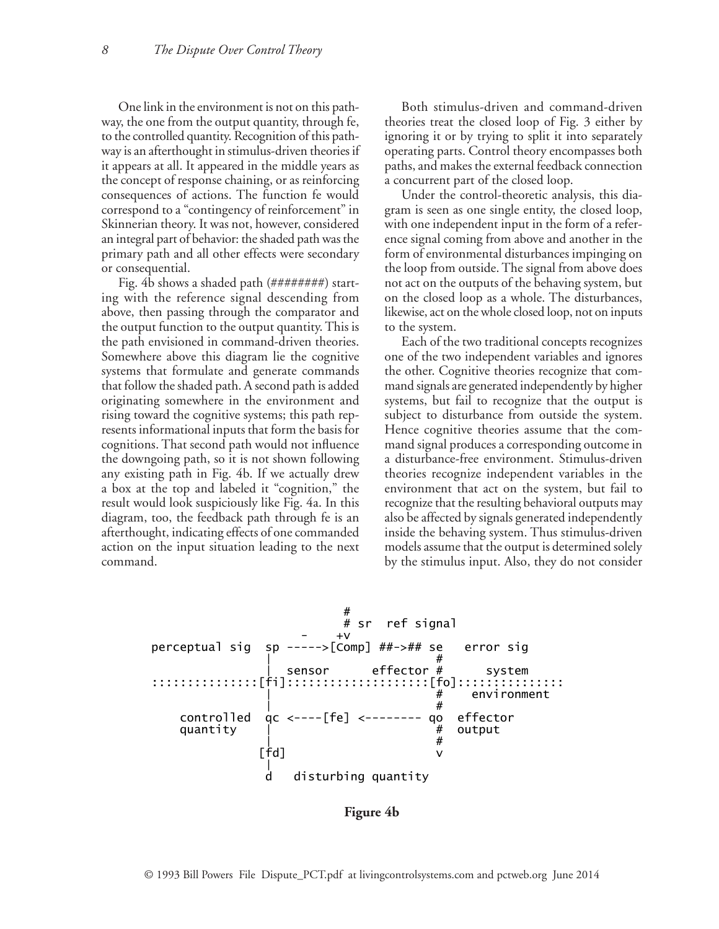One link in the environment is not on this path-<br>Both stimulus-dri way, the one from the output quantity, through fe, theories treat the clos to the controlled quantity. Recognition of this path-<br>to the controlled quantity. Recognition of this path-<br> way is an afterthought in stimulus-driven theories if it appears at all. It appeared in the middle years as the concept of response chaining, or as reinforcing consequences of actions. The function fe would Under the correspond to a "contingency of reinforcement" in Skinnerian theory. It was not, however, considered with one independent input i an integral part of behavior: the shaded path was the  $\qquad$  ence signal c primary path and all other effects were secondary form of environmental distur or consequential. tioned quantity. Recognit  $\frac{1}{1}$  and an other effects were secondary and the environmental disturbances in

Fig. 4b shows a shaded path (########) start- not act on th ing with the reference signal descending from on the closed loop as a wl above, then passing through the comparator and likewise, act on the whole the output function to the output quantity. This is the path envisioned in command-driven theories. Somewhere above this diagram lie the cognitive one of the  $s$ ystems that formulate and generate commands that follow the shaded path. A second path is added originating somewhere in the environment and rising toward the cognitive systems; this path rep- subject to d resents informational inputs that form the basis for cognitions. That second path would not influence mand signa the downgoing path, so it is not shown following a disturbance-free environn any existing path in Fig. 4b. If we actually drew theories recognize independent variabl a box at the top and labeled it "cognition," the environment that act on the sy result would look suspiciously like Fig. 4a. In this a recognize that the resultin diagram, too, the feedback path through fe is an also be affected by sign afterthought, indicating effects of one commanded inside the b action on the input situation leading to the next models assu command. en passing unough the c  $\frac{p}{T}$  =  $\frac{1}{T}$  =  $\frac{1}{T}$  =  $\frac{1}{T}$  =  $\frac{1}{T}$  =  $\frac{1}{T}$  =  $\frac{1}{T}$  =  $\frac{1}{T}$  =  $\frac{1}{T}$  =  $\frac{1}{T}$  =  $\frac{1}{T}$  =  $\frac{1}{T}$  =  $\frac{1}{T}$  =  $\frac{1}{T}$  =  $\frac{1}{T}$  =  $\frac{1}{T}$  =  $\frac{1}{T}$  =  $\frac{1}{T}$  =  $\frac{1$  $\frac{111}{11}$   $\frac{11}{11}$   $\frac{111}{11}$   $\frac{111}{11}$   $\frac{111}{11}$   $\frac{111}{11}$   $\frac{111}{11}$   $\frac{111}{11}$   $\frac{111}{11}$   $\frac{111}{11}$   $\frac{111}{11}$   $\frac{111}{11}$   $\frac{111}{11}$   $\frac{111}{11}$   $\frac{111}{11}$   $\frac{111}{11}$   $\frac{111}{11}$   $\frac{1}{1}$  and  $\frac{1}{1}$  and  $\frac{1}{1}$  and  $\frac{1}{1}$  and  $\frac{1}{1}$ 

Both stimulus-driven and command-driven theories treat the closed loop of Fig. 3 either by ignoring it or by trying to split it into separately operating parts. Control theory encompasses both paths, and makes the external feedback connection a concurrent part of the closed loop.

Under the control-theoretic analysis, this diagram is seen as one single entity, the closed loop, with one independent input in the form of a reference signal coming from above and another in the form of environmental disturbances impinging on the loop from outside. The signal from above does until. not act on the outputs of the behaving system, but on the closed loop as a whole. The disturbances, likewise, act on the whole closed loop, not on inputs to the system.

Each of the two traditional concepts recognizes one of the two independent variables and ignores the other. Cognitive theories recognize that command signals are generated independently by higher systems, but fail to recognize that the output is subject to disturbance from outside the system. Hence cognitive theories assume that the command signal produces a corresponding outcome in a disturbance-free environment. Stimulus-driven theories recognize independent variables in the environment that act on the system, but fail to recognize that the resulting behavioral outputs may also be affected by signals generated independently inside the behaving system. Thus stimulus-driven models assume that the output is determined solely d. So the stimulus input. Also, they do not consider the stimulus input. Also, they do not consider



**Figure 4b**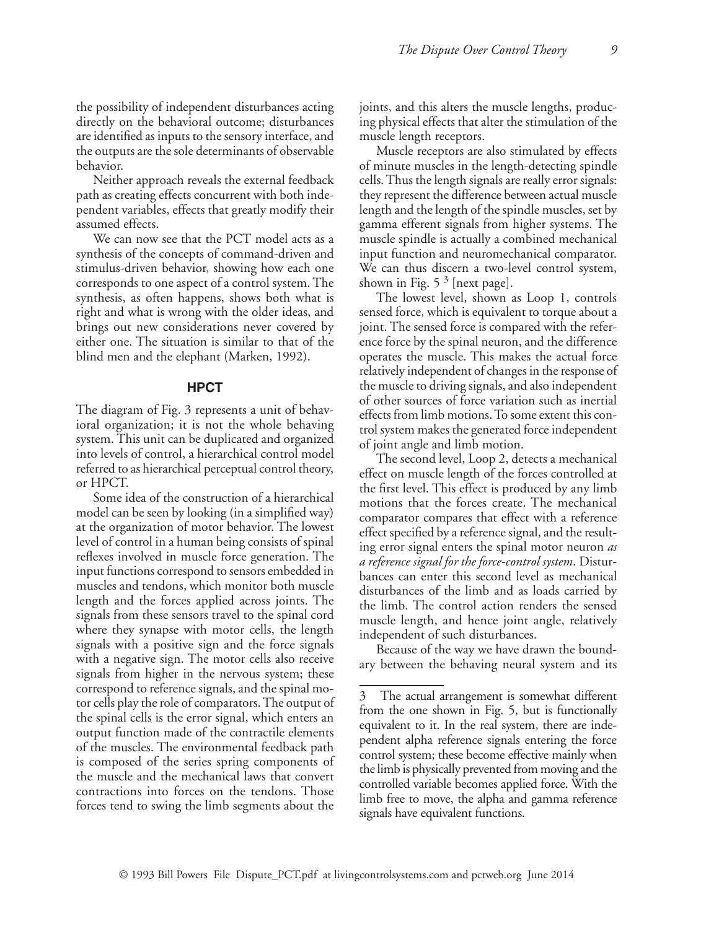the possibility of independent disturbances acting directly on the behavioral outcome; disturbances are identified as inputs to the sensory interface, and the outputs are the sole determinants of observable behavior.

Neither approach reveals the external feedback path as creating effects concurrent with both independent variables, effects that greatly modify their assumed effects.

We can now see that the PCT model acts as a synthesis of the concepts of command-driven and stimulus-driven behavior, showing how each one corresponds to one aspect of a control system. The synthesis, as often happens, shows both what is right and what is wrong with the older ideas, and brings out new considerations never covered by either one. The situation is similar to that of the blind men and the elephant (Marken, 1992).

## **HPCT**

The diagram of Fig. 3 represents a unit of behavioral organization; it is not the whole behaving system. This unit can be duplicated and organized into levels of control, a hierarchical control model referred to as hierarchical perceptual control theory, or HPCT.

Some idea of the construction of a hierarchical model can be seen by looking (in a simplified way) at the organization of motor behavior. The lowest level of control in a human being consists of spinal reflexes involved in muscle force generation. The input functions correspond to sensors embedded in muscles and tendons, which monitor both muscle length and the forces applied across joints. The signals from these sensors travel to the spinal cord where they synapse with motor cells, the length signals with a positive sign and the force signals with a negative sign. The motor cells also receive signals from higher in the nervous system; these correspond to reference signals, and the spinal motor cells play the role of comparators. The output of the spinal cells is the error signal, which enters an output function made of the contractile elements of the muscles. The environmental feedback path is composed of the series spring components of the muscle and the mechanical laws that convert contractions into forces on the tendons. Those forces tend to swing the limb segments about the

joints, and this alters the muscle lengths, producing physical effects that alter the stimulation of the muscle length receptors.

Muscle receptors are also stimulated by effects of minute muscles in the length-detecting spindle cells. Thus the length signals are really error signals: they represent the difference between actual muscle length and the length of the spindle muscles, set by gamma efferent signals from higher systems. The muscle spindle is actually a combined mechanical input function and neuromechanical comparator. We can thus discern a two-level control system, shown in Fig.  $5<sup>3</sup>$  [next page].

The lowest level, shown as Loop 1, controls sensed force, which is equivalent to torque about a joint. The sensed force is compared with the reference force by the spinal neuron, and the difference operates the muscle. This makes the actual force relatively independent of changes in the response of the muscle to driving signals, and also independent of other sources of force variation such as inertial effects from limb motions. To some extent this control system makes the generated force independent of joint angle and limb motion.

The second level, Loop 2, detects a mechanical effect on muscle length of the forces controlled at the first level. This effect is produced by any limb motions that the forces create. The mechanical comparator compares that effect with a reference effect specified by a reference signal, and the resulting error signal enters the spinal motor neuron *as a reference signal for the force-control system*. Disturbances can enter this second level as mechanical disturbances of the limb and as loads carried by the limb. The control action renders the sensed muscle length, and hence joint angle, relatively independent of such disturbances.

Because of the way we have drawn the boundary between the behaving neural system and its

The actual arrangement is somewhat different from the one shown in Fig. 5, but is functionally equivalent to it. In the real system, there are independent alpha reference signals entering the force control system; these become effective mainly when the limb is physically prevented from moving and the controlled variable becomes applied force. With the limb free to move, the alpha and gamma reference signals have equivalent functions.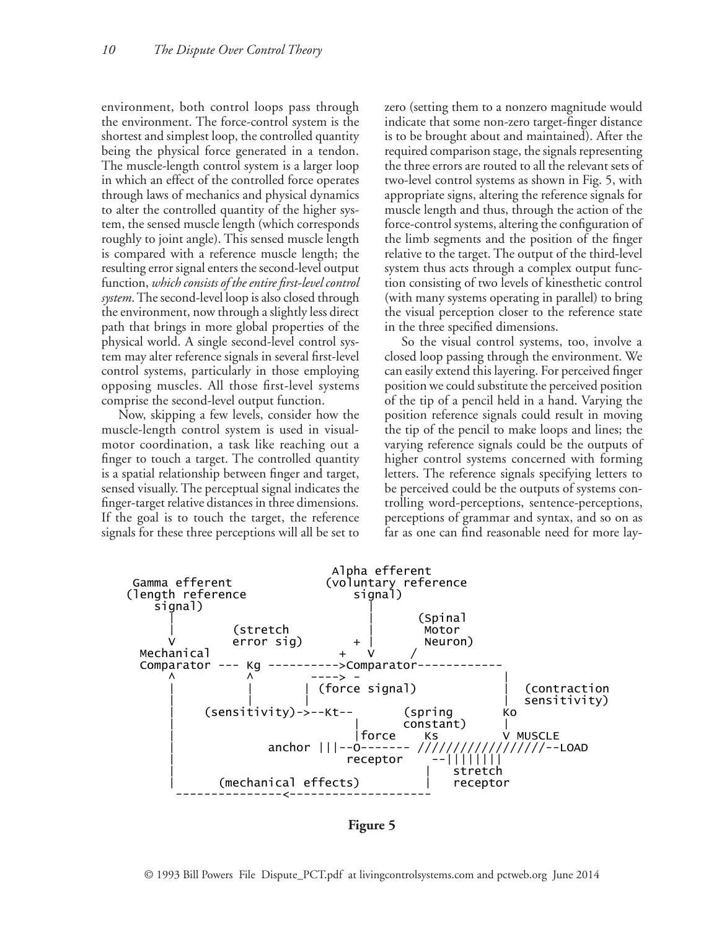environment, both control loops pass through the environment. The force-control system is the shortest and simplest loop, the controlled quantity being the physical force generated in a tendon. The muscle-length control system is a larger loop in which an effect of the controlled force operates through laws of mechanics and physical dynamics to alter the controlled quantity of the higher system, the sensed muscle length (which corresponds roughly to joint angle). This sensed muscle length is compared with a reference muscle length; the resulting error signal enters the second-level output function, *which consists of the entire first-level control system*. The second-level loop is also closed through the environment, now through a slightly less direct path that brings in more global properties of the physical world. A single second-level control system may alter reference signals in several first-level control systems, particularly in those employing opposing muscles. All those first-level systems comprise the second-level output function.

Now, skipping a few levels, consider how the muscle-length control system is used in visualmotor coordination, a task like reaching out a finger to touch a target. The controlled quantity is a spatial relationship between finger and target, sensed visually. The perceptual signal indicates the finger-target relative distances in three dimensions. If the goal is to touch the target, the reference signals for these three perceptions will all be set to

zero (setting them to a nonzero magnitude would indicate that some non-zero target-finger distance is to be brought about and maintained). After the required comparison stage, the signals representing the three errors are routed to all the relevant sets of two-level control systems as shown in Fig. 5, with appropriate signs, altering the reference signals for muscle length and thus, through the action of the force-control systems, altering the configuration of the limb segments and the position of the finger relative to the target. The output of the third-level system thus acts through a complex output function consisting of two levels of kinesthetic control (with many systems operating in parallel) to bring the visual perception closer to the reference state in the three specified dimensions.

So the visual control systems, too, involve a closed loop passing through the environment. We can easily extend this layering. For perceived finger position we could substitute the perceived position of the tip of a pencil held in a hand. Varying the position reference signals could result in moving the tip of the pencil to make loops and lines; the varying reference signals could be the outputs of higher control systems concerned with forming letters. The reference signals specifying letters to be perceived could be the outputs of systems controlling word-perceptions, sentence-perceptions, perceptions of grammar and syntax, and so on as far as one can find reasonable need for more lay-

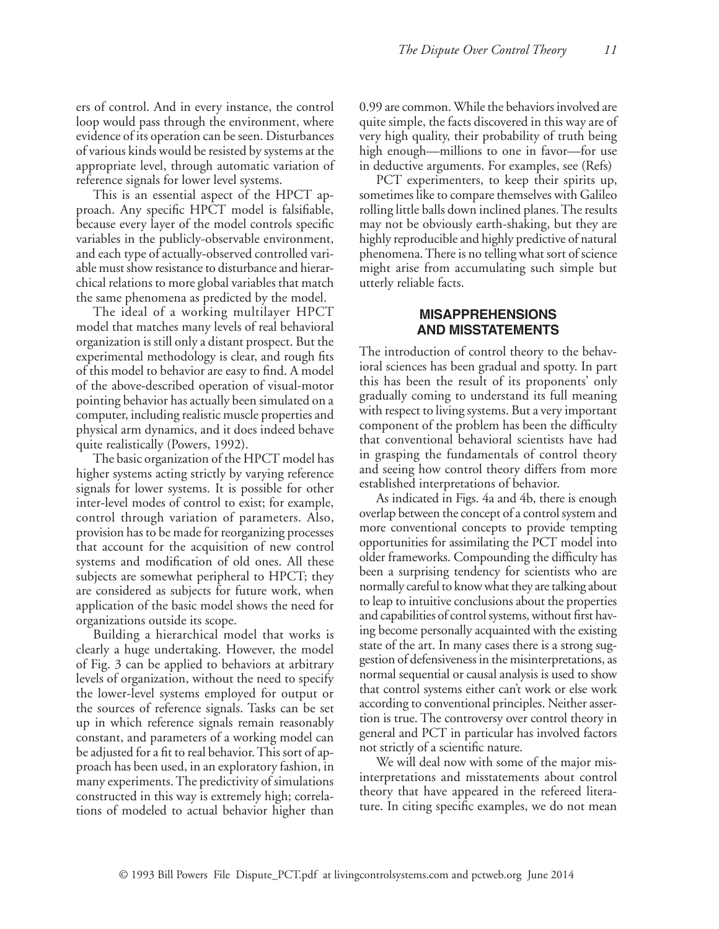ers of control. And in every instance, the control loop would pass through the environment, where evidence of its operation can be seen. Disturbances of various kinds would be resisted by systems at the appropriate level, through automatic variation of reference signals for lower level systems.

This is an essential aspect of the HPCT approach. Any specific HPCT model is falsifiable, because every layer of the model controls specific variables in the publicly-observable environment, and each type of actually-observed controlled variable must show resistance to disturbance and hierarchical relations to more global variables that match the same phenomena as predicted by the model.

The ideal of a working multilayer HPCT model that matches many levels of real behavioral organization is still only a distant prospect. But the experimental methodology is clear, and rough fits of this model to behavior are easy to find. A model of the above-described operation of visual-motor pointing behavior has actually been simulated on a computer, including realistic muscle properties and physical arm dynamics, and it does indeed behave quite realistically (Powers, 1992).

The basic organization of the HPCT model has higher systems acting strictly by varying reference signals for lower systems. It is possible for other inter-level modes of control to exist; for example, control through variation of parameters. Also, provision has to be made for reorganizing processes that account for the acquisition of new control systems and modification of old ones. All these subjects are somewhat peripheral to HPCT; they are considered as subjects for future work, when application of the basic model shows the need for organizations outside its scope.

Building a hierarchical model that works is clearly a huge undertaking. However, the model of Fig. 3 can be applied to behaviors at arbitrary levels of organization, without the need to specify the lower-level systems employed for output or the sources of reference signals. Tasks can be set up in which reference signals remain reasonably constant, and parameters of a working model can be adjusted for a fit to real behavior. This sort of approach has been used, in an exploratory fashion, in many experiments. The predictivity of simulations constructed in this way is extremely high; correlations of modeled to actual behavior higher than 0.99 are common. While the behaviors involved are quite simple, the facts discovered in this way are of very high quality, their probability of truth being high enough—millions to one in favor—for use in deductive arguments. For examples, see (Refs)

PCT experimenters, to keep their spirits up, sometimes like to compare themselves with Galileo rolling little balls down inclined planes. The results may not be obviously earth-shaking, but they are highly reproducible and highly predictive of natural phenomena. There is no telling what sort of science might arise from accumulating such simple but utterly reliable facts.

## **MISAPPREHENSIONS AND MISSTATEMENTS**

The introduction of control theory to the behavioral sciences has been gradual and spotty. In part this has been the result of its proponents' only gradually coming to understand its full meaning with respect to living systems. But a very important component of the problem has been the difficulty that conventional behavioral scientists have had in grasping the fundamentals of control theory and seeing how control theory differs from more established interpretations of behavior.

As indicated in Figs. 4a and 4b, there is enough overlap between the concept of a control system and more conventional concepts to provide tempting opportunities for assimilating the PCT model into older frameworks. Compounding the difficulty has been a surprising tendency for scientists who are normally careful to know what they are talking about to leap to intuitive conclusions about the properties and capabilities of control systems, without first having become personally acquainted with the existing state of the art. In many cases there is a strong suggestion of defensiveness in the misinterpretations, as normal sequential or causal analysis is used to show that control systems either can't work or else work according to conventional principles. Neither assertion is true. The controversy over control theory in general and PCT in particular has involved factors not strictly of a scientific nature.

We will deal now with some of the major misinterpretations and misstatements about control theory that have appeared in the refereed literature. In citing specific examples, we do not mean